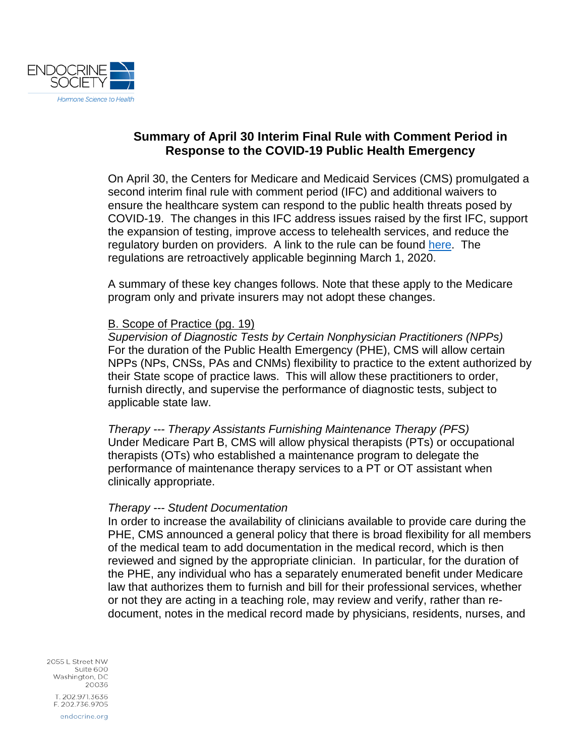

# **Summary of April 30 Interim Final Rule with Comment Period in Response to the COVID-19 Public Health Emergency**

On April 30, the Centers for Medicare and Medicaid Services (CMS) promulgated a second interim final rule with comment period (IFC) and additional waivers to ensure the healthcare system can respond to the public health threats posed by COVID-19. The changes in this IFC address issues raised by the first IFC, support the expansion of testing, improve access to telehealth services, and reduce the regulatory burden on providers. A link to the rule can be found [here.](https://www.cms.gov/files/document/covid-medicare-and-medicaid-ifc2.pdf) The regulations are retroactively applicable beginning March 1, 2020.

A summary of these key changes follows. Note that these apply to the Medicare program only and private insurers may not adopt these changes.

#### B. Scope of Practice (pg. 19)

*Supervision of Diagnostic Tests by Certain Nonphysician Practitioners (NPPs)* For the duration of the Public Health Emergency (PHE), CMS will allow certain NPPs (NPs, CNSs, PAs and CNMs) flexibility to practice to the extent authorized by their State scope of practice laws. This will allow these practitioners to order, furnish directly, and supervise the performance of diagnostic tests, subject to applicable state law.

*Therapy --- Therapy Assistants Furnishing Maintenance Therapy (PFS)* Under Medicare Part B, CMS will allow physical therapists (PTs) or occupational therapists (OTs) who established a maintenance program to delegate the performance of maintenance therapy services to a PT or OT assistant when clinically appropriate.

#### *Therapy --- Student Documentation*

In order to increase the availability of clinicians available to provide care during the PHE, CMS announced a general policy that there is broad flexibility for all members of the medical team to add documentation in the medical record, which is then reviewed and signed by the appropriate clinician. In particular, for the duration of the PHE, any individual who has a separately enumerated benefit under Medicare law that authorizes them to furnish and bill for their professional services, whether or not they are acting in a teaching role, may review and verify, rather than redocument, notes in the medical record made by physicians, residents, nurses, and

2055 L Street NW Suite 600 Washington, DC 20036 T. 202.971.3636 F. 202.736.9705 endocrine.org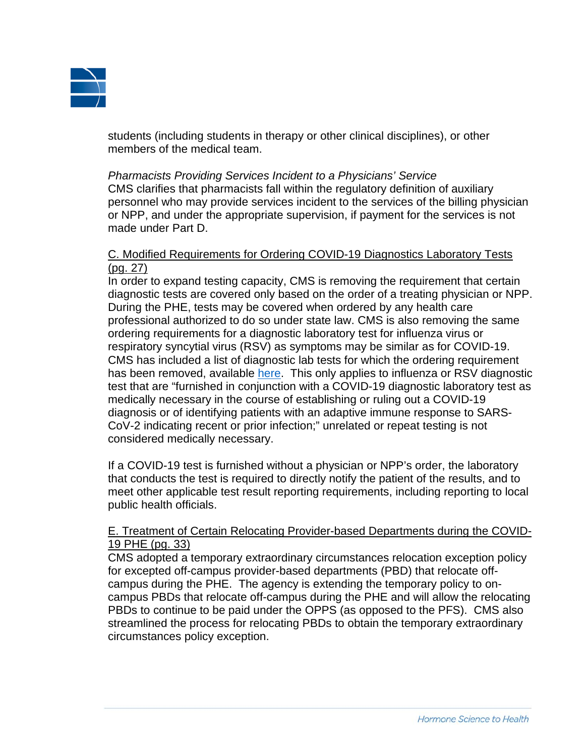

students (including students in therapy or other clinical disciplines), or other members of the medical team.

*Pharmacists Providing Services Incident to a Physicians' Service* CMS clarifies that pharmacists fall within the regulatory definition of auxiliary personnel who may provide services incident to the services of the billing physician or NPP, and under the appropriate supervision, if payment for the services is not made under Part D.

### C. Modified Requirements for Ordering COVID-19 Diagnostics Laboratory Tests (pg. 27)

In order to expand testing capacity, CMS is removing the requirement that certain diagnostic tests are covered only based on the order of a treating physician or NPP. During the PHE, tests may be covered when ordered by any health care professional authorized to do so under state law. CMS is also removing the same ordering requirements for a diagnostic laboratory test for influenza virus or respiratory syncytial virus (RSV) as symptoms may be similar as for COVID-19. CMS has included a list of diagnostic lab tests for which the ordering requirement has been removed, available [here.](https://www.cms.gov/files/document/covid-ifc-2-flu-rsv-codes.pdf) This only applies to influenza or RSV diagnostic test that are "furnished in conjunction with a COVID-19 diagnostic laboratory test as medically necessary in the course of establishing or ruling out a COVID-19 diagnosis or of identifying patients with an adaptive immune response to SARS-CoV-2 indicating recent or prior infection;" unrelated or repeat testing is not considered medically necessary.

If a COVID-19 test is furnished without a physician or NPP's order, the laboratory that conducts the test is required to directly notify the patient of the results, and to meet other applicable test result reporting requirements, including reporting to local public health officials.

## E. Treatment of Certain Relocating Provider-based Departments during the COVID-19 PHE (pg. 33)

CMS adopted a temporary extraordinary circumstances relocation exception policy for excepted off-campus provider-based departments (PBD) that relocate offcampus during the PHE. The agency is extending the temporary policy to oncampus PBDs that relocate off-campus during the PHE and will allow the relocating PBDs to continue to be paid under the OPPS (as opposed to the PFS). CMS also streamlined the process for relocating PBDs to obtain the temporary extraordinary circumstances policy exception.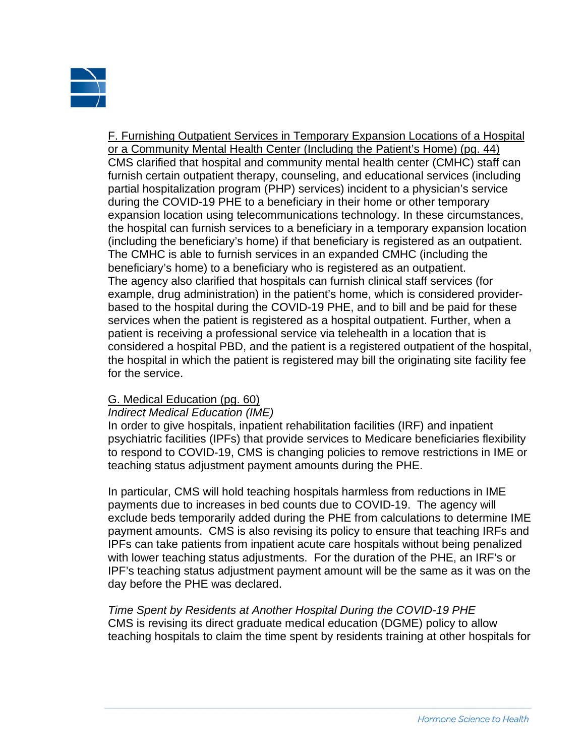

F. Furnishing Outpatient Services in Temporary Expansion Locations of a Hospital or a Community Mental Health Center (Including the Patient's Home) (pg. 44) CMS clarified that hospital and community mental health center (CMHC) staff can furnish certain outpatient therapy, counseling, and educational services (including partial hospitalization program (PHP) services) incident to a physician's service during the COVID-19 PHE to a beneficiary in their home or other temporary expansion location using telecommunications technology. In these circumstances, the hospital can furnish services to a beneficiary in a temporary expansion location (including the beneficiary's home) if that beneficiary is registered as an outpatient. The CMHC is able to furnish services in an expanded CMHC (including the beneficiary's home) to a beneficiary who is registered as an outpatient. The agency also clarified that hospitals can furnish clinical staff services (for example, drug administration) in the patient's home, which is considered providerbased to the hospital during the COVID-19 PHE, and to bill and be paid for these services when the patient is registered as a hospital outpatient. Further, when a patient is receiving a professional service via telehealth in a location that is considered a hospital PBD, and the patient is a registered outpatient of the hospital, the hospital in which the patient is registered may bill the originating site facility fee for the service.

## G. Medical Education (pg. 60)

#### *Indirect Medical Education (IME)*

In order to give hospitals, inpatient rehabilitation facilities (IRF) and inpatient psychiatric facilities (IPFs) that provide services to Medicare beneficiaries flexibility to respond to COVID-19, CMS is changing policies to remove restrictions in IME or teaching status adjustment payment amounts during the PHE.

In particular, CMS will hold teaching hospitals harmless from reductions in IME payments due to increases in bed counts due to COVID-19. The agency will exclude beds temporarily added during the PHE from calculations to determine IME payment amounts. CMS is also revising its policy to ensure that teaching IRFs and IPFs can take patients from inpatient acute care hospitals without being penalized with lower teaching status adjustments. For the duration of the PHE, an IRF's or IPF's teaching status adjustment payment amount will be the same as it was on the day before the PHE was declared.

*Time Spent by Residents at Another Hospital During the COVID-19 PHE* CMS is revising its direct graduate medical education (DGME) policy to allow teaching hospitals to claim the time spent by residents training at other hospitals for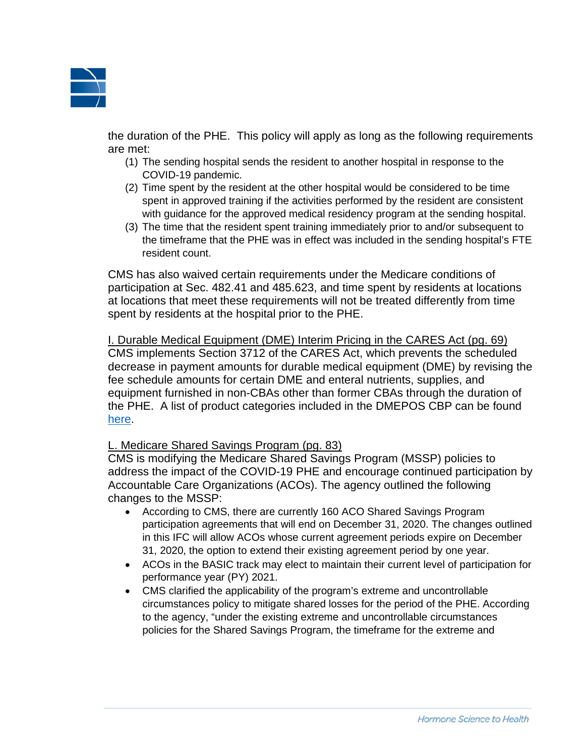

the duration of the PHE. This policy will apply as long as the following requirements are met:

- (1) The sending hospital sends the resident to another hospital in response to the COVID-19 pandemic.
- (2) Time spent by the resident at the other hospital would be considered to be time spent in approved training if the activities performed by the resident are consistent with guidance for the approved medical residency program at the sending hospital.
- (3) The time that the resident spent training immediately prior to and/or subsequent to the timeframe that the PHE was in effect was included in the sending hospital's FTE resident count.

CMS has also waived certain requirements under the Medicare conditions of participation at Sec. 482.41 and 485.623, and time spent by residents at locations at locations that meet these requirements will not be treated differently from time spent by residents at the hospital prior to the PHE.

I. Durable Medical Equipment (DME) Interim Pricing in the CARES Act (pg. 69) CMS implements Section 3712 of the CARES Act, which prevents the scheduled decrease in payment amounts for durable medical equipment (DME) by revising the fee schedule amounts for certain DME and enteral nutrients, supplies, and equipment furnished in non-CBAs other than former CBAs through the duration of the PHE. A list of product categories included in the DMEPOS CBP can be found [here.](https://dmecompetitivebid.com/cbic/cbic2021.nsf/DocsCat/IOH71ITDM2)

## L. Medicare Shared Savings Program (pg. 83)

CMS is modifying the Medicare Shared Savings Program (MSSP) policies to address the impact of the COVID-19 PHE and encourage continued participation by Accountable Care Organizations (ACOs). The agency outlined the following changes to the MSSP:

- According to CMS, there are currently 160 ACO Shared Savings Program participation agreements that will end on December 31, 2020. The changes outlined in this IFC will allow ACOs whose current agreement periods expire on December 31, 2020, the option to extend their existing agreement period by one year.
- ACOs in the BASIC track may elect to maintain their current level of participation for performance year (PY) 2021.
- CMS clarified the applicability of the program's extreme and uncontrollable circumstances policy to mitigate shared losses for the period of the PHE. According to the agency, "under the existing extreme and uncontrollable circumstances policies for the Shared Savings Program, the timeframe for the extreme and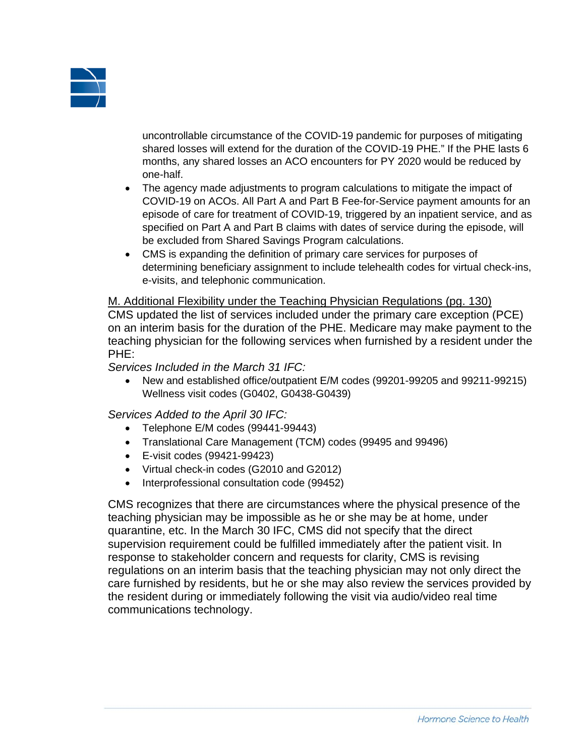

uncontrollable circumstance of the COVID-19 pandemic for purposes of mitigating shared losses will extend for the duration of the COVID-19 PHE." If the PHE lasts 6 months, any shared losses an ACO encounters for PY 2020 would be reduced by one-half.

- The agency made adjustments to program calculations to mitigate the impact of COVID-19 on ACOs. All Part A and Part B Fee-for-Service payment amounts for an episode of care for treatment of COVID-19, triggered by an inpatient service, and as specified on Part A and Part B claims with dates of service during the episode, will be excluded from Shared Savings Program calculations.
- CMS is expanding the definition of primary care services for purposes of determining beneficiary assignment to include telehealth codes for virtual check-ins, e-visits, and telephonic communication.

#### M. Additional Flexibility under the Teaching Physician Regulations (pg. 130)

CMS updated the list of services included under the primary care exception (PCE) on an interim basis for the duration of the PHE. Medicare may make payment to the teaching physician for the following services when furnished by a resident under the PHE:

*Services Included in the March 31 IFC:*

• New and established office/outpatient E/M codes (99201-99205 and 99211-99215) Wellness visit codes (G0402, G0438-G0439)

*Services Added to the April 30 IFC:*

- Telephone E/M codes (99441-99443)
- Translational Care Management (TCM) codes (99495 and 99496)
- E-visit codes (99421-99423)
- Virtual check-in codes (G2010 and G2012)
- Interprofessional consultation code (99452)

CMS recognizes that there are circumstances where the physical presence of the teaching physician may be impossible as he or she may be at home, under quarantine, etc. In the March 30 IFC, CMS did not specify that the direct supervision requirement could be fulfilled immediately after the patient visit. In response to stakeholder concern and requests for clarity, CMS is revising regulations on an interim basis that the teaching physician may not only direct the care furnished by residents, but he or she may also review the services provided by the resident during or immediately following the visit via audio/video real time communications technology.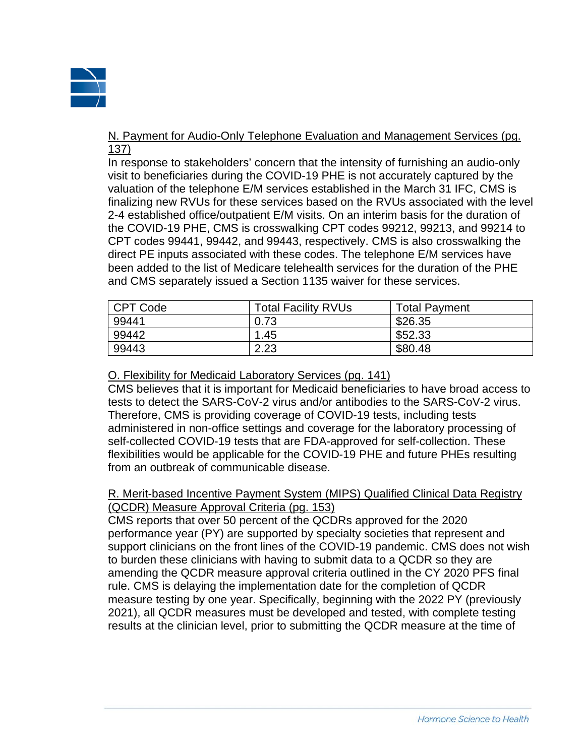

### N. Payment for Audio-Only Telephone Evaluation and Management Services (pg. 137)

In response to stakeholders' concern that the intensity of furnishing an audio-only visit to beneficiaries during the COVID-19 PHE is not accurately captured by the valuation of the telephone E/M services established in the March 31 IFC, CMS is finalizing new RVUs for these services based on the RVUs associated with the level 2-4 established office/outpatient E/M visits. On an interim basis for the duration of the COVID-19 PHE, CMS is crosswalking CPT codes 99212, 99213, and 99214 to CPT codes 99441, 99442, and 99443, respectively. CMS is also crosswalking the direct PE inputs associated with these codes. The telephone E/M services have been added to the list of Medicare telehealth services for the duration of the PHE and CMS separately issued a Section 1135 waiver for these services.

| <b>CPT Code</b> | <b>Total Facility RVUs</b> | <b>Total Payment</b> |
|-----------------|----------------------------|----------------------|
| 99441           | 0.73                       | \$26.35              |
| 99442           | 1.45                       | \$52.33              |
| 99443           | 2.23                       | \$80.48              |

# O. Flexibility for Medicaid Laboratory Services (pg. 141)

CMS believes that it is important for Medicaid beneficiaries to have broad access to tests to detect the SARS-CoV-2 virus and/or antibodies to the SARS-CoV-2 virus. Therefore, CMS is providing coverage of COVID-19 tests, including tests administered in non-office settings and coverage for the laboratory processing of self-collected COVID-19 tests that are FDA-approved for self-collection. These flexibilities would be applicable for the COVID-19 PHE and future PHEs resulting from an outbreak of communicable disease.

## R. Merit-based Incentive Payment System (MIPS) Qualified Clinical Data Registry (QCDR) Measure Approval Criteria (pg. 153)

CMS reports that over 50 percent of the QCDRs approved for the 2020 performance year (PY) are supported by specialty societies that represent and support clinicians on the front lines of the COVID-19 pandemic. CMS does not wish to burden these clinicians with having to submit data to a QCDR so they are amending the QCDR measure approval criteria outlined in the CY 2020 PFS final rule. CMS is delaying the implementation date for the completion of QCDR measure testing by one year. Specifically, beginning with the 2022 PY (previously 2021), all QCDR measures must be developed and tested, with complete testing results at the clinician level, prior to submitting the QCDR measure at the time of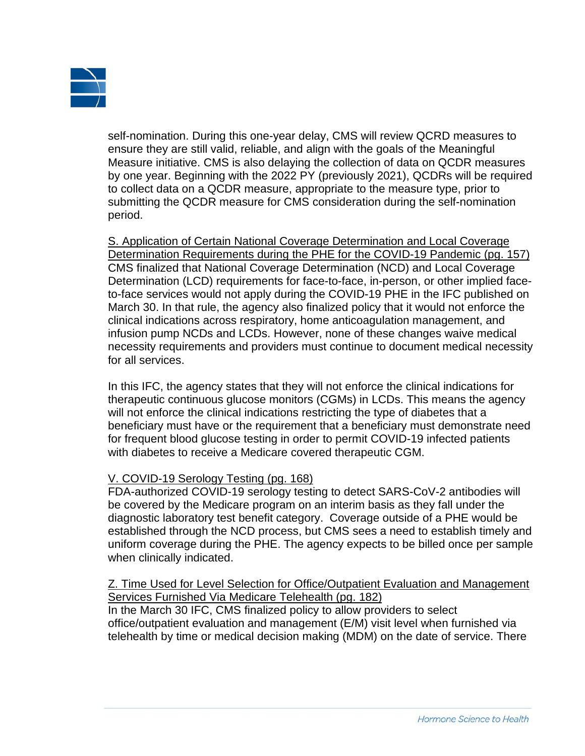

self-nomination. During this one-year delay, CMS will review QCRD measures to ensure they are still valid, reliable, and align with the goals of the Meaningful Measure initiative. CMS is also delaying the collection of data on QCDR measures by one year. Beginning with the 2022 PY (previously 2021), QCDRs will be required to collect data on a QCDR measure, appropriate to the measure type, prior to submitting the QCDR measure for CMS consideration during the self-nomination period.

S. Application of Certain National Coverage Determination and Local Coverage Determination Requirements during the PHE for the COVID-19 Pandemic (pg. 157) CMS finalized that National Coverage Determination (NCD) and Local Coverage Determination (LCD) requirements for face-to-face, in-person, or other implied faceto-face services would not apply during the COVID-19 PHE in the IFC published on March 30. In that rule, the agency also finalized policy that it would not enforce the clinical indications across respiratory, home anticoagulation management, and infusion pump NCDs and LCDs. However, none of these changes waive medical necessity requirements and providers must continue to document medical necessity for all services.

In this IFC, the agency states that they will not enforce the clinical indications for therapeutic continuous glucose monitors (CGMs) in LCDs. This means the agency will not enforce the clinical indications restricting the type of diabetes that a beneficiary must have or the requirement that a beneficiary must demonstrate need for frequent blood glucose testing in order to permit COVID-19 infected patients with diabetes to receive a Medicare covered therapeutic CGM.

## V. COVID-19 Serology Testing (pg. 168)

FDA-authorized COVID-19 serology testing to detect SARS-CoV-2 antibodies will be covered by the Medicare program on an interim basis as they fall under the diagnostic laboratory test benefit category. Coverage outside of a PHE would be established through the NCD process, but CMS sees a need to establish timely and uniform coverage during the PHE. The agency expects to be billed once per sample when clinically indicated.

Z. Time Used for Level Selection for Office/Outpatient Evaluation and Management Services Furnished Via Medicare Telehealth (pg. 182) In the March 30 IFC, CMS finalized policy to allow providers to select office/outpatient evaluation and management (E/M) visit level when furnished via telehealth by time or medical decision making (MDM) on the date of service. There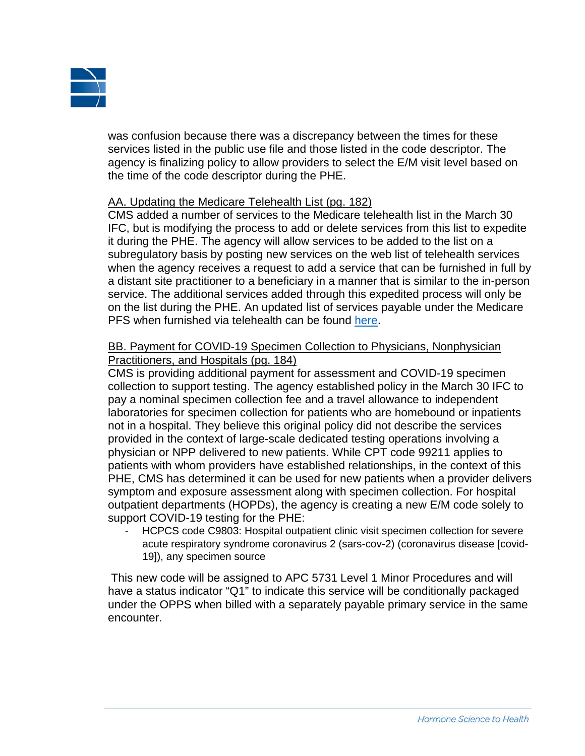

was confusion because there was a discrepancy between the times for these services listed in the public use file and those listed in the code descriptor. The agency is finalizing policy to allow providers to select the E/M visit level based on the time of the code descriptor during the PHE.

### AA. Updating the Medicare Telehealth List (pg. 182)

CMS added a number of services to the Medicare telehealth list in the March 30 IFC, but is modifying the process to add or delete services from this list to expedite it during the PHE. The agency will allow services to be added to the list on a subregulatory basis by posting new services on the web list of telehealth services when the agency receives a request to add a service that can be furnished in full by a distant site practitioner to a beneficiary in a manner that is similar to the in-person service. The additional services added through this expedited process will only be on the list during the PHE. An updated list of services payable under the Medicare PFS when furnished via telehealth can be found [here.](https://www.cms.gov/Medicare/Medicare-General-Information/Telehealth/Telehealth-Codes)

## BB. Payment for COVID-19 Specimen Collection to Physicians, Nonphysician Practitioners, and Hospitals (pg. 184)

CMS is providing additional payment for assessment and COVID-19 specimen collection to support testing. The agency established policy in the March 30 IFC to pay a nominal specimen collection fee and a travel allowance to independent laboratories for specimen collection for patients who are homebound or inpatients not in a hospital. They believe this original policy did not describe the services provided in the context of large-scale dedicated testing operations involving a physician or NPP delivered to new patients. While CPT code 99211 applies to patients with whom providers have established relationships, in the context of this PHE, CMS has determined it can be used for new patients when a provider delivers symptom and exposure assessment along with specimen collection. For hospital outpatient departments (HOPDs), the agency is creating a new E/M code solely to support COVID-19 testing for the PHE:

HCPCS code C9803: Hospital outpatient clinic visit specimen collection for severe acute respiratory syndrome coronavirus 2 (sars-cov-2) (coronavirus disease [covid-19]), any specimen source

This new code will be assigned to APC 5731 Level 1 Minor Procedures and will have a status indicator "Q1" to indicate this service will be conditionally packaged under the OPPS when billed with a separately payable primary service in the same encounter.